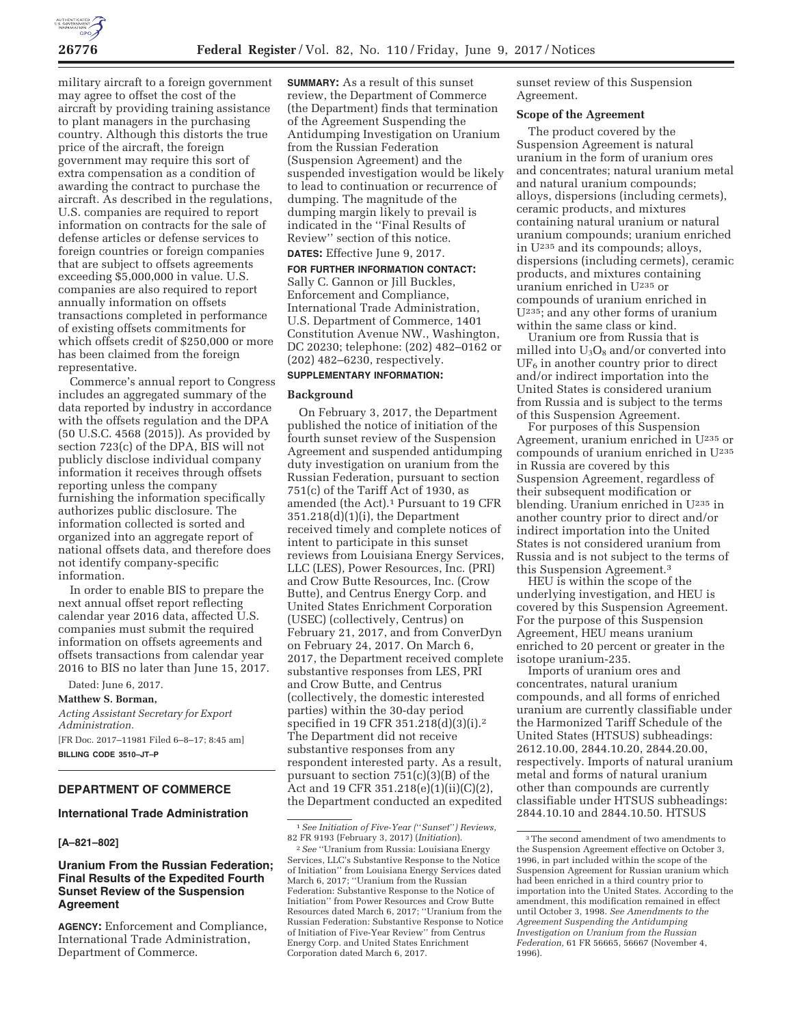

military aircraft to a foreign government may agree to offset the cost of the aircraft by providing training assistance to plant managers in the purchasing country. Although this distorts the true price of the aircraft, the foreign government may require this sort of extra compensation as a condition of awarding the contract to purchase the aircraft. As described in the regulations, U.S. companies are required to report information on contracts for the sale of defense articles or defense services to foreign countries or foreign companies that are subject to offsets agreements exceeding \$5,000,000 in value. U.S. companies are also required to report annually information on offsets transactions completed in performance of existing offsets commitments for which offsets credit of \$250,000 or more has been claimed from the foreign representative.

Commerce's annual report to Congress includes an aggregated summary of the data reported by industry in accordance with the offsets regulation and the DPA (50 U.S.C. 4568 (2015)). As provided by section 723(c) of the DPA, BIS will not publicly disclose individual company information it receives through offsets reporting unless the company furnishing the information specifically authorizes public disclosure. The information collected is sorted and organized into an aggregate report of national offsets data, and therefore does not identify company-specific information.

In order to enable BIS to prepare the next annual offset report reflecting calendar year 2016 data, affected U.S. companies must submit the required information on offsets agreements and offsets transactions from calendar year 2016 to BIS no later than June 15, 2017.

Dated: June 6, 2017. **Matthew S. Borman,**  *Acting Assistant Secretary for Export Administration.*  [FR Doc. 2017–11981 Filed 6–8–17; 8:45 am] **BILLING CODE 3510–JT–P** 

# **DEPARTMENT OF COMMERCE**

# **International Trade Administration**

#### **[A–821–802]**

# **Uranium From the Russian Federation; Final Results of the Expedited Fourth Sunset Review of the Suspension Agreement**

**AGENCY:** Enforcement and Compliance, International Trade Administration, Department of Commerce.

**SUMMARY:** As a result of this sunset review, the Department of Commerce (the Department) finds that termination of the Agreement Suspending the Antidumping Investigation on Uranium from the Russian Federation (Suspension Agreement) and the suspended investigation would be likely to lead to continuation or recurrence of dumping. The magnitude of the dumping margin likely to prevail is indicated in the ''Final Results of Review'' section of this notice.

# **DATES:** Effective June 9, 2017.

**FOR FURTHER INFORMATION CONTACT:**  Sally C. Gannon or Jill Buckles, Enforcement and Compliance, International Trade Administration, U.S. Department of Commerce, 1401 Constitution Avenue NW., Washington, DC 20230; telephone: (202) 482–0162 or (202) 482–6230, respectively.

# **SUPPLEMENTARY INFORMATION:**

#### **Background**

On February 3, 2017, the Department published the notice of initiation of the fourth sunset review of the Suspension Agreement and suspended antidumping duty investigation on uranium from the Russian Federation, pursuant to section 751(c) of the Tariff Act of 1930, as amended (the Act).1 Pursuant to 19 CFR  $351.218(d)(1)(i)$ , the Department received timely and complete notices of intent to participate in this sunset reviews from Louisiana Energy Services, LLC (LES), Power Resources, Inc. (PRI) and Crow Butte Resources, Inc. (Crow Butte), and Centrus Energy Corp. and United States Enrichment Corporation (USEC) (collectively, Centrus) on February 21, 2017, and from ConverDyn on February 24, 2017. On March 6, 2017, the Department received complete substantive responses from LES, PRI and Crow Butte, and Centrus (collectively, the domestic interested parties) within the 30-day period specified in 19 CFR 351.218(d)(3)(i).2 The Department did not receive substantive responses from any respondent interested party. As a result, pursuant to section 751(c)(3)(B) of the Act and 19 CFR 351.218(e)(1)(ii)(C)(2), the Department conducted an expedited sunset review of this Suspension Agreement.

## **Scope of the Agreement**

The product covered by the Suspension Agreement is natural uranium in the form of uranium ores and concentrates; natural uranium metal and natural uranium compounds; alloys, dispersions (including cermets), ceramic products, and mixtures containing natural uranium or natural uranium compounds; uranium enriched in U235 and its compounds; alloys, dispersions (including cermets), ceramic products, and mixtures containing uranium enriched in U235 or compounds of uranium enriched in U235; and any other forms of uranium within the same class or kind.

Uranium ore from Russia that is milled into  $U_3O_8$  and/or converted into  $UF<sub>6</sub>$  in another country prior to direct and/or indirect importation into the United States is considered uranium from Russia and is subject to the terms of this Suspension Agreement.

For purposes of this Suspension Agreement, uranium enriched in U235 or compounds of uranium enriched in U235 in Russia are covered by this Suspension Agreement, regardless of their subsequent modification or blending. Uranium enriched in U235 in another country prior to direct and/or indirect importation into the United States is not considered uranium from Russia and is not subject to the terms of this Suspension Agreement.3

HEU is within the scope of the underlying investigation, and HEU is covered by this Suspension Agreement. For the purpose of this Suspension Agreement, HEU means uranium enriched to 20 percent or greater in the isotope uranium-235.

Imports of uranium ores and concentrates, natural uranium compounds, and all forms of enriched uranium are currently classifiable under the Harmonized Tariff Schedule of the United States (HTSUS) subheadings: 2612.10.00, 2844.10.20, 2844.20.00, respectively. Imports of natural uranium metal and forms of natural uranium other than compounds are currently classifiable under HTSUS subheadings: 2844.10.10 and 2844.10.50. HTSUS

<sup>1</sup>*See Initiation of Five-Year (*''*Sunset*''*) Reviews,*  82 FR 9193 (February 3, 2017) (*Initiation*).

<sup>2</sup>*See* ''Uranium from Russia: Louisiana Energy Services, LLC's Substantive Response to the Notice of Initiation'' from Louisiana Energy Services dated March 6, 2017; ''Uranium from the Russian Federation: Substantive Response to the Notice of Initiation'' from Power Resources and Crow Butte Resources dated March 6, 2017; ''Uranium from the Russian Federation: Substantive Response to Notice of Initiation of Five-Year Review'' from Centrus Energy Corp. and United States Enrichment Corporation dated March 6, 2017.

<sup>3</sup>The second amendment of two amendments to the Suspension Agreement effective on October 3, 1996, in part included within the scope of the Suspension Agreement for Russian uranium which had been enriched in a third country prior to importation into the United States. According to the amendment, this modification remained in effect until October 3, 1998. *See Amendments to the Agreement Suspending the Antidumping Investigation on Uranium from the Russian Federation,* 61 FR 56665, 56667 (November 4, 1996).